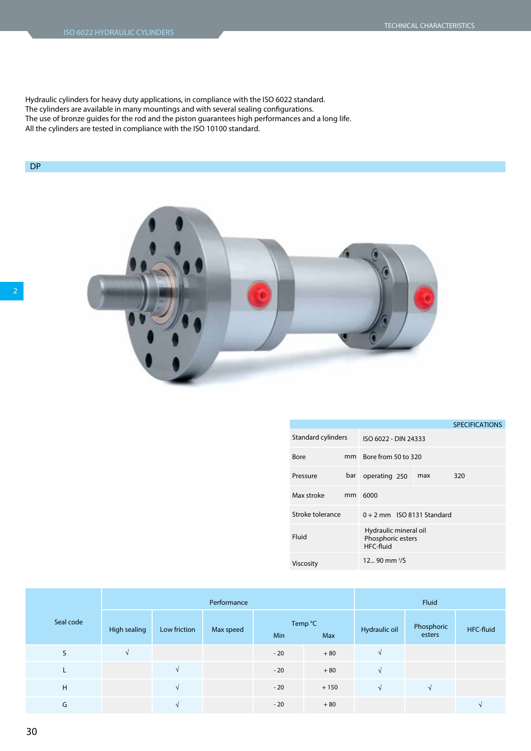Hydraulic cylinders for heavy duty applications, in compliance with the ISO 6022 standard. The cylinders are available in many mountings and with several sealing congurations. The use of bronze guides for the rod and the piston guarantees high performances and a long life. All the cylinders are tested in compliance with the ISO 10100 standard.

## DP



|                    |               |                                                         |     | <b>SPECIFICATIONS</b> |  |  |  |  |  |
|--------------------|---------------|---------------------------------------------------------|-----|-----------------------|--|--|--|--|--|
| Standard cylinders |               | ISO 6022 - DIN 24333                                    |     |                       |  |  |  |  |  |
| Bore               | mm            | Bore from 50 to 320                                     |     |                       |  |  |  |  |  |
| Pressure           | bar           | operating 250                                           | max | 320                   |  |  |  |  |  |
| Max stroke         | <sub>mm</sub> | 6000                                                    |     |                       |  |  |  |  |  |
| Stroke tolerance   |               | $0 + 2$ mm ISO 8131 Standard                            |     |                       |  |  |  |  |  |
| Fluid              |               | Hydraulic mineral oil<br>Phosphoric esters<br>HFC-fluid |     |                       |  |  |  |  |  |
| Viscosity          |               | $1290$ mm $\frac{2}{5}$                                 |     |                       |  |  |  |  |  |

|           |              |              | Performance | Fluid |                |               |                      |           |
|-----------|--------------|--------------|-------------|-------|----------------|---------------|----------------------|-----------|
| Seal code | High sealing | Low friction | Max speed   | Min   | Temp °C<br>Max | Hydraulic oil | Phosphoric<br>esters | HFC-fluid |
| S         |              |              |             | $-20$ | $+80$          |               |                      |           |
|           |              | N            |             | $-20$ | $+80$          |               |                      |           |
| H         |              | N            |             | $-20$ | $+150$         |               |                      |           |
| G         |              | $\Delta$     |             | $-20$ | $+80$          |               |                      |           |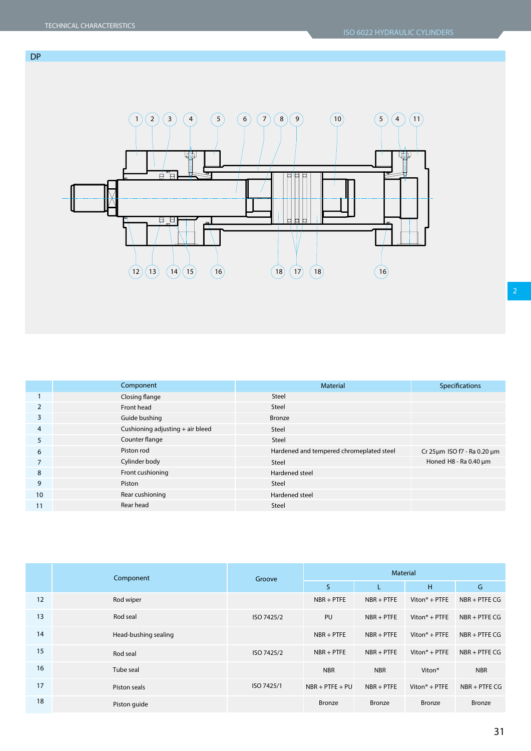

|                | Component                        | <b>Material</b>                          | Specifications              |
|----------------|----------------------------------|------------------------------------------|-----------------------------|
|                | Closing flange                   | Steel                                    |                             |
| 2              | Front head                       | Steel                                    |                             |
| 3              | Guide bushing                    | Bronze                                   |                             |
| $\overline{4}$ | Cushioning adjusting + air bleed | Steel                                    |                             |
| 5              | Counter flange                   | Steel                                    |                             |
| 6              | Piston rod                       | Hardened and tempered chromeplated steel | Cr 25um ISO f7 - Ra 0.20 um |
|                | Cylinder body                    | Steel                                    | Honed H8 - Ra 0.40 µm       |
| 8              | Front cushioning                 | Hardened steel                           |                             |
| 9              | Piston                           | Steel                                    |                             |
| 10             | Rear cushioning                  | Hardened steel                           |                             |
| 11             | Rear head                        | Steel                                    |                             |
|                |                                  |                                          |                             |

|    | Component            | Groove     | <b>Material</b>   |               |                           |                 |  |  |  |  |
|----|----------------------|------------|-------------------|---------------|---------------------------|-----------------|--|--|--|--|
|    |                      |            | S                 | L             | H                         | G               |  |  |  |  |
| 12 | Rod wiper            |            | $NBR + PTFE$      | $NBR + PTFE$  | Viton $\degree$ + PTFE    | $NBR + PTFE CG$ |  |  |  |  |
| 13 | Rod seal             | ISO 7425/2 | PU                | $NBR + PTFE$  | Viton <sup>®</sup> + PTFE | $NBR + PTFE CG$ |  |  |  |  |
| 14 | Head-bushing sealing |            | $NBR + PTFE$      | $NBR + PTFE$  | Viton $\degree$ + PTFE    | $NBR + PTFE CG$ |  |  |  |  |
| 15 | Rod seal             | ISO 7425/2 | $NBR + PTFE$      | $NBR + PTFE$  | Viton <sup>®</sup> + PTFE | $NBR + PTFE CG$ |  |  |  |  |
| 16 | Tube seal            |            | <b>NBR</b>        | <b>NBR</b>    | Viton <sup>®</sup>        | <b>NBR</b>      |  |  |  |  |
| 17 | Piston seals         | ISO 7425/1 | $NBR + PTFE + PU$ | $NBR + PTFE$  | Viton $\degree$ + PTFE    | $NBR + PTFE CG$ |  |  |  |  |
| 18 | Piston guide         |            | Bronze            | <b>Bronze</b> | Bronze                    | <b>Bronze</b>   |  |  |  |  |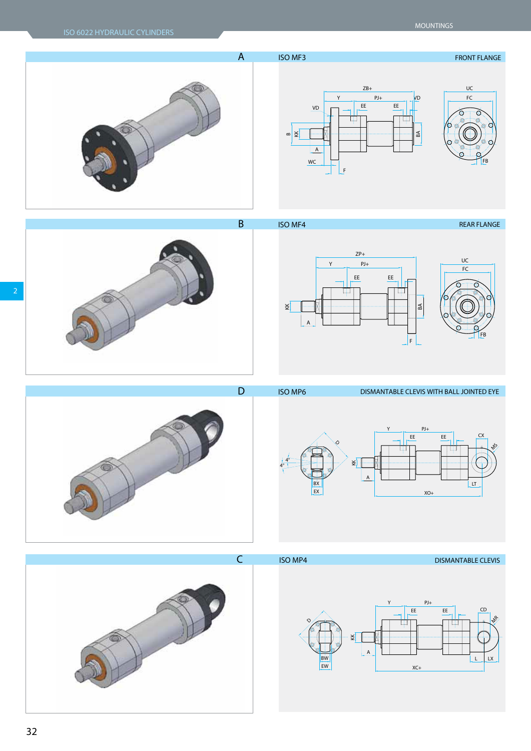



**D ISO MP6 DISMANTABLE CLEVIS WITH BALL JOINTED EYE** 





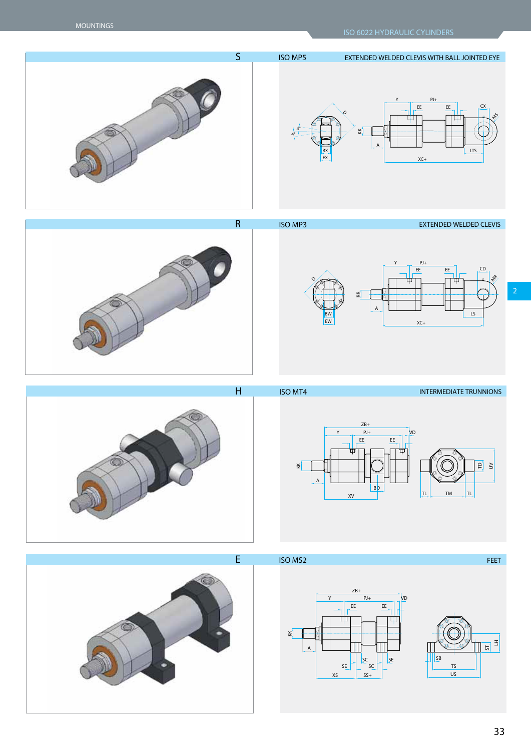







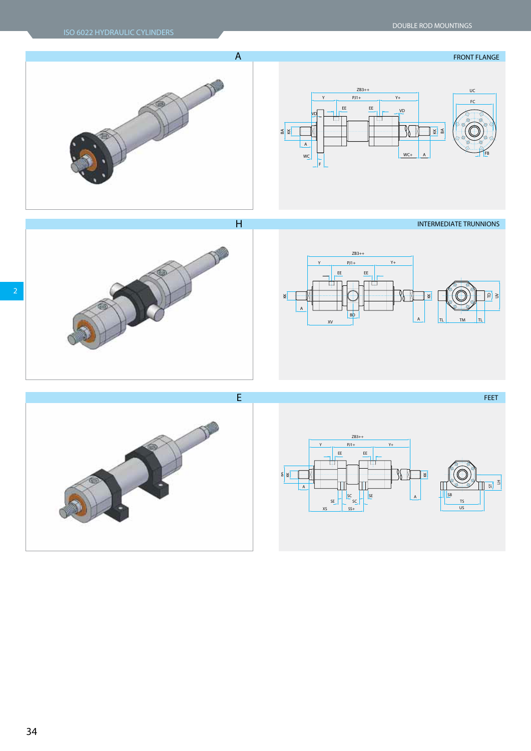













**34**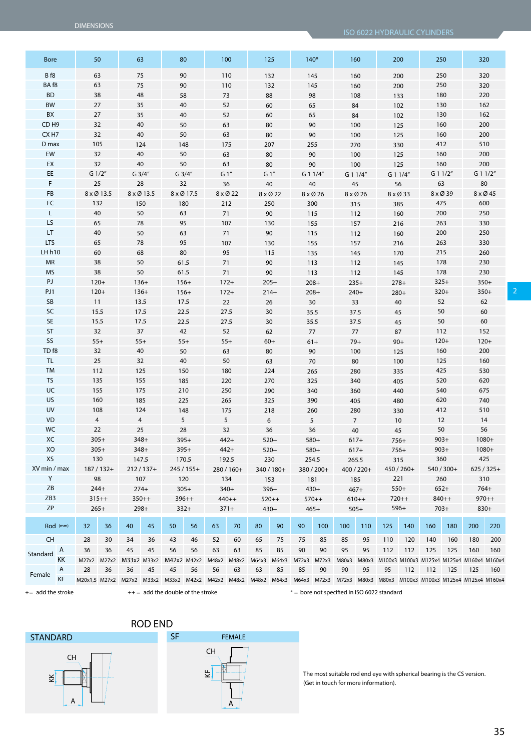ISO 6022 HYDRAULIC CYLINDERS

| <b>Bore</b>      |          |    | 50         | 63                      |            | 80                                                |            |        | 100      | 125               |            | $140*$       |            |       | 160            |       | 200              |        | 250        | 320                                                        |            |     |     |            |  |
|------------------|----------|----|------------|-------------------------|------------|---------------------------------------------------|------------|--------|----------|-------------------|------------|--------------|------------|-------|----------------|-------|------------------|--------|------------|------------------------------------------------------------|------------|-----|-----|------------|--|
| Bf8              |          |    | 63         | 75                      |            | 90                                                |            |        | 110      |                   | 132        |              | 145        |       | 160            |       | 200              | 250    |            | 320                                                        |            |     |     |            |  |
| BA f8            |          |    | 63         | 75                      |            | 90                                                |            |        | 110      | 132               |            |              | 145        | 160   |                | 200   |                  |        | 250        |                                                            | 320        |     |     |            |  |
| <b>BD</b>        |          |    | 38         | 48                      |            | 58                                                |            | 73     |          | 88                |            |              | 98         |       | 108            |       | 133              |        | 180        |                                                            | 220        |     |     |            |  |
| <b>BW</b>        |          |    | 27         | 35                      |            | 40                                                |            |        | 52       | 60                |            |              | 65         |       | 84             |       | 102              |        | 130        | 162                                                        |            |     |     |            |  |
| BX               |          |    | 27         | 35                      |            | 40                                                |            |        | 52       |                   | 60         |              | 65         |       | 84             |       | 102              |        | 130        | 162                                                        |            |     |     |            |  |
| CD <sub>H9</sub> |          |    | 32         | 40                      |            | 50                                                |            | 63     |          | 80                |            |              | 90         |       | 100            |       | 125              |        | 160        | 200                                                        |            |     |     |            |  |
| CX <sub>H7</sub> |          |    | 32         | 40                      |            | 50                                                |            | 63     |          | $80\,$            |            |              | 90         |       | 100            |       | 125              |        | 160        | 200                                                        |            |     |     |            |  |
| D max            |          |    | 105        |                         | 124        | 148                                               |            |        | 175      | 207               |            |              | 255        |       | 270            |       | 330              |        | 412        | 510                                                        |            |     |     |            |  |
| EW               |          |    | 32         | 40                      |            | 50                                                |            |        | 63       | 80                |            |              | 90         |       | 100            |       | 125              |        | 160        | 200                                                        |            |     |     |            |  |
| EX               |          |    | 32         | 40                      |            | 50                                                |            |        | 63       |                   | 80         |              | 90         |       | 100            |       | 125              |        | 160        | 200                                                        |            |     |     |            |  |
| EE.              |          |    | $G$ 1/2"   |                         | G3/4"      | $G$ 3/4"                                          |            | $G1$ " |          | $G1$ "            |            |              | G 1 1/4"   |       | G 1 1/4"       |       | G 1 1/4"         |        | G 1 1/2"   |                                                            | G 1 1/2"   |     |     |            |  |
| F                |          | 25 |            | 28                      |            | 32                                                |            | 36     |          | 40                |            |              | 40         | 45    |                |       | 56               | 63     |            | $80\,$                                                     |            |     |     |            |  |
| FB               |          |    | 8 x Ø 13.5 |                         | 8 x Ø 13.5 |                                                   | 8 x Ø 17.5 |        | 8 x Ø 22 |                   | 8 x Ø 22   |              | 8 x Ø 26   |       | 8 x Ø 26       |       | 8 x Ø 33         |        | 8 x Ø 39   |                                                            | 8 x Ø 45   |     |     |            |  |
| FC               |          |    | 132        |                         | 150        | 180                                               |            |        | 212      |                   | 250        |              | 300        |       | 315            |       | 385              |        | 475        | 600                                                        |            |     |     |            |  |
| L                |          |    | 40         | 50                      |            | 63                                                |            | 71     |          |                   | 90         |              | 115        |       | 112            |       | 160              |        | 200        | 250                                                        |            |     |     |            |  |
| LS               |          |    | 65         | 78                      |            | 95                                                |            |        | 107      |                   | 130        |              | 155        |       | 157            |       | 216              |        | 263        | 330                                                        |            |     |     |            |  |
| LT.              |          |    | 40         | 50                      |            | 63                                                |            |        | 71       | 90                |            |              | 115        |       | 112            |       | 160              |        | 200        | 250                                                        |            |     |     |            |  |
| <b>LTS</b>       |          |    | 65         | 78                      |            | 95                                                |            |        | 107      | 130               |            |              | 155        |       | 157            |       | 216              |        | 263        | 330                                                        |            |     |     |            |  |
| LH h10           |          |    | 60         | 68                      |            | $80\,$                                            |            | 95     |          | 115               |            |              | 135        |       | 145            |       | 170              |        | 215        | 260                                                        |            |     |     |            |  |
| <b>MR</b>        |          |    | 38         | 50                      |            | 61.5                                              |            |        | 71       | 90                |            |              | 113        |       | 112            |       | 145              |        | 178        | 230                                                        |            |     |     |            |  |
| <b>MS</b>        |          |    | 38         | 50                      |            | 61.5                                              |            |        | 71       | 90                |            |              | 113        |       | 112            |       | 145              |        | 178        | 230                                                        |            |     |     |            |  |
| PJ               |          |    | $120+$     |                         | $136+$     | $156+$                                            |            |        | $172+$   |                   | $205+$     |              | $208+$     |       | $235+$         |       | $278+$           |        | $325+$     | $350+$                                                     |            |     |     |            |  |
| PJ1              |          |    | $120+$     |                         | $136+$     | $156+$                                            |            |        | $172+$   |                   | $214+$     |              | $208+$     |       | $240+$         |       | $280+$           |        | $320+$     | $350+$                                                     |            |     |     |            |  |
| SB               |          |    | 11         |                         | 13.5       |                                                   | 22<br>17.5 |        |          |                   | 26         |              | 30         |       | 33             |       | 40               | 52     |            | 62                                                         |            |     |     |            |  |
| SC               |          |    | 15.5       |                         | 17.5       | 22.5                                              |            |        | 27.5     | 30                |            | 35.5<br>37.5 |            | 45    |                | 50    |                  | 60     |            |                                                            |            |     |     |            |  |
| <b>SE</b>        |          |    | 15.5       |                         | 17.5       | 22.5                                              |            | 27.5   |          | $30\,$            |            | 37.5<br>35.5 |            |       | 45             |       | 50               |        | 60         |                                                            |            |     |     |            |  |
| ST               |          |    | 32         |                         | 37         | 42                                                |            |        | 52       |                   | 62         |              | 77         |       | 77             |       | 87               | 112    |            | 152                                                        |            |     |     |            |  |
| SS               |          |    | $55+$      |                         | $55+$      | $55+$                                             |            |        | $55+$    | $60+$             |            | $61+$        |            | $79+$ |                | $90+$ |                  | $120+$ |            | $120+$                                                     |            |     |     |            |  |
| TD <sub>f8</sub> |          |    | 32         |                         | 40         | 50                                                |            |        | 63       | 80                |            |              | 90         |       | 100            |       | 125              |        | 160        | 200                                                        |            |     |     |            |  |
| TL               |          |    | 25         |                         | 32         | 40                                                |            |        | 50       | 63                |            |              | 70         | 80    |                |       | 100              |        | 125        | 160                                                        |            |     |     |            |  |
| <b>TM</b>        |          |    | 112        | 125                     |            | 150                                               |            |        | 180      | 224               |            |              | 265        |       | 280            |       | 335              |        | 425        | 530                                                        |            |     |     |            |  |
| <b>TS</b>        |          |    | 135        | 155                     |            | 185                                               |            |        | 220      | 270               |            |              | 325        |       | 340            |       | 405              |        | 520        | 620                                                        |            |     |     |            |  |
| UC               |          |    | 155        |                         | 175        | 210                                               |            |        | 250      |                   | 290        |              | 340        |       | 360            |       |                  |        |            |                                                            | 440        |     | 540 | 675        |  |
| <b>US</b>        |          |    | 160        |                         | 185        | 225                                               |            | 265    |          | 325               |            |              | 390        |       | 405            |       |                  | 480    |            |                                                            | 620        | 740 |     |            |  |
| UV               |          |    | 108        |                         | 124        | 148                                               |            |        | 175      | 218               |            |              | 260        |       | 280            |       |                  |        |            | 330                                                        |            |     |     | 412<br>510 |  |
| <b>VD</b>        |          |    | 4          | 4                       |            | 5                                                 |            |        | 5        |                   | 6          |              | 5          |       | $\overline{7}$ |       |                  |        | 10         |                                                            | 12         |     | 14  |            |  |
| WC               |          |    | 22         | 25                      |            | 28                                                |            | 32     |          | 36                |            |              | 36         | 40    |                |       | 45               |        | 50         | 56                                                         |            |     |     |            |  |
| XC               |          |    | $305+$     |                         | $348+$     | $395+$                                            |            |        | $442+$   |                   | $520+$     |              | 580+       |       | $617+$         |       | $756+$           |        | $903+$     |                                                            | 1080+      |     |     |            |  |
| XO               |          |    | $305+$     |                         | 348+       | $395+$                                            |            |        | $442+$   |                   | $520+$     |              | $580+$     |       | $617+$         |       | $756+$           |        | $903+$     |                                                            | $1080+$    |     |     |            |  |
| XS               |          |    | 130        |                         | 147.5      | 170.5                                             |            |        | 192.5    |                   | 230        |              | 254.5      |       | 265.5          |       | 315              |        | 360        | 425                                                        |            |     |     |            |  |
| XV min / max     |          |    | $187/132+$ |                         | $212/137+$ |                                                   | 245 / 155+ |        | 280/160+ |                   | 340 / 180+ |              | 380 / 200+ |       | 400 / 220+     |       | 450 / 260+       |        | 540 / 300+ |                                                            | $625/325+$ |     |     |            |  |
| Y                |          |    | 98         |                         | 107        | 120                                               |            |        | 134      |                   | 153        |              | 181        |       | 185            |       | 221              |        | 260        | 310                                                        |            |     |     |            |  |
| ZB               |          |    | $244+$     |                         | $274+$     | $305+$                                            |            |        | $340+$   |                   | $396+$     |              | $430+$     |       | $467+$         |       | $550+$<br>$652+$ |        |            |                                                            | $764+$     |     |     |            |  |
| ZB3              |          |    | $315++$    |                         | $350++$    |                                                   | $396++$    |        | $440++$  |                   | $520++$    |              | $570++$    |       | $610++$        |       | $720++$          |        | $840++$    |                                                            | $970++$    |     |     |            |  |
| <b>ZP</b>        |          |    | $265+$     |                         | $298+$     | $332+$                                            |            |        | $371+$   |                   | $430+$     |              | $465+$     |       | $505+$         |       | $596+$           |        | $703+$     | $830+$                                                     |            |     |     |            |  |
|                  |          |    |            |                         |            |                                                   |            |        |          |                   |            |              |            |       |                |       |                  |        |            |                                                            |            |     |     |            |  |
|                  | Rod (mm) | 32 | 36         | 40                      | 45         | 50                                                | 56         | 63     | 70       | 80                | 90         | 90           | 100        | 100   | 110            | 125   | 140              | 160    | 180        | 200                                                        | 220        |     |     |            |  |
| <b>CH</b>        |          | 28 | 30         | 34                      | 36         | 43                                                | 46         | 52     | 60       | 65                | 75         | 75           | 85         | 85    | 95             | 110   | 120              | 140    | 160        | 180                                                        | 200        |     |     |            |  |
| Standard         | Α        | 36 | 36         | 45                      | 45         | 56                                                | 56         | 63     | 63       | 85                | 85         | 90           | 90         | 95    | 95             | 112   | 112              | 125    | 125        | 160                                                        | 160        |     |     |            |  |
|                  | KΚ       |    |            | M27x2 M27x2 M33x2 M33x2 |            | M42x2 M42x2                                       |            | M48x2  | M48x2    | M64x3             | M64x3      | M72x3        | M72x3      | M80x3 | M80x3          |       |                  |        |            | M100x3 M100x3 M125x4 M125x4 M160x4 M160x4                  |            |     |     |            |  |
| Female           | Α        | 28 | 36         | 36                      | 45         | 45                                                | 56         | 56     | 63       | 63                | 85         | 85           | 90         | 90    | 95             | 95    | 112              | 112    | 125        | 125                                                        | 160        |     |     |            |  |
|                  | KF       |    |            |                         |            | M20x1,5 M27x2 M27x2 M33x2 M33x2 M42x2 M42x2 M48x2 |            |        |          | M48x2 M64x3 M64x3 |            |              |            |       |                |       |                  |        |            | M72x3 M72x3 M80x3 M80x3 M100x3 M100x3 M125x4 M125x4 M160x4 |            |     |     |            |  |

+ = add the stroke + + = add the double of the stroke \* = bore not specified in ISO 6022 standard



The most suitable rod end eye with spherical bearing is the CS version. (Get in touch for more information).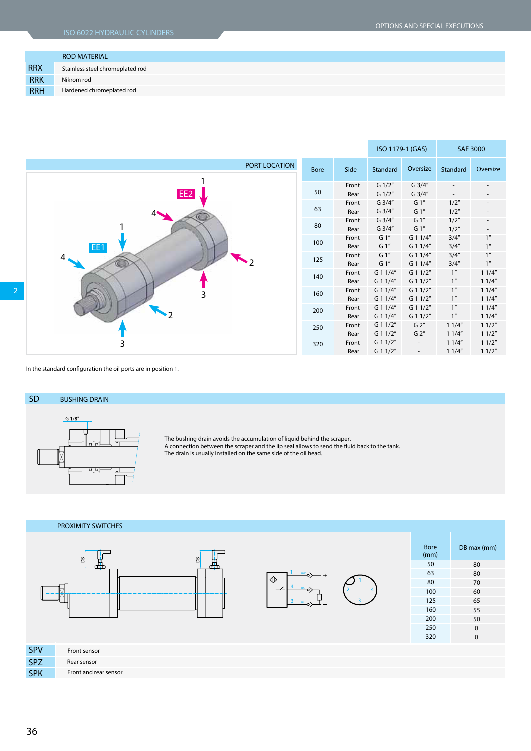|            | <b>ROD MATERIAL</b>              |
|------------|----------------------------------|
| <b>RRX</b> | Stainless steel chromeplated rod |
| <b>RRK</b> | Nikrom rod                       |
| <b>RRH</b> | Hardened chromeplated rod        |



In the standard configuration the oil ports are in position 1.





Front sensor Rear sensor Front and rear sensor



| <b>Bore</b><br>(mm) | DB max (mm)  |
|---------------------|--------------|
| 50                  | 80           |
| 63                  | 80           |
| 80                  | 70           |
| 100                 | 60           |
| 125                 | 65           |
| 160                 | 55           |
| 200                 | 50           |
| 250                 | $\mathbf{0}$ |
| 320                 | 0            |
|                     |              |

 SPV SPZ SPK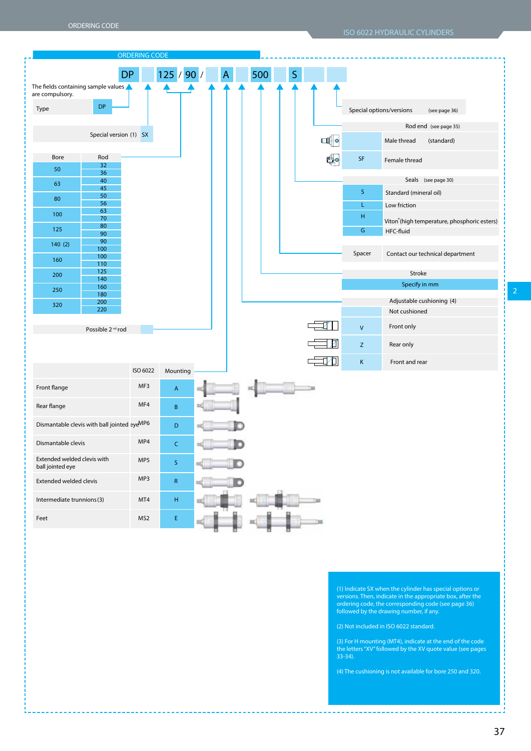|                                                      |                              | <b>ORDERING CODE</b> |                 |   |     |   |   |   |                                   |                                             |
|------------------------------------------------------|------------------------------|----------------------|-----------------|---|-----|---|---|---|-----------------------------------|---------------------------------------------|
|                                                      | <b>DP</b>                    |                      | 125 / 90 /      | A | 500 | S |   |   |                                   |                                             |
| The fields containing sample values $\blacktriangle$ |                              |                      |                 |   |     |   |   |   |                                   |                                             |
| are compulsory.                                      |                              |                      |                 |   |     |   |   |   |                                   |                                             |
| Type                                                 | <b>DP</b>                    |                      |                 |   |     |   |   |   | Special options/versions          | (see page 36)                               |
|                                                      |                              |                      |                 |   |     |   |   |   |                                   | Rod end (see page 35)                       |
|                                                      | Special version (1) SX       |                      |                 |   |     |   | H |   |                                   | Male thread<br>(standard)                   |
| Bore                                                 | Rod                          |                      |                 |   |     |   |   |   | $\ensuremath{\mathsf{SF}}\xspace$ | Female thread                               |
| 50                                                   | 32<br>36                     |                      |                 |   |     |   |   |   |                                   |                                             |
| 63                                                   | 40<br>45                     |                      |                 |   |     |   |   |   |                                   | Seals (see page 30)                         |
| 80                                                   | 50                           |                      |                 |   |     |   |   |   | S                                 | Standard (mineral oil)                      |
|                                                      | 56<br>63                     |                      |                 |   |     |   |   |   | L.                                | Low friction                                |
| 100                                                  | 70                           |                      |                 |   |     |   |   |   | H                                 | Viton®(high temperature, phosphoric esters) |
| 125                                                  | 80<br>90                     |                      |                 |   |     |   |   |   | G                                 | HFC-fluid                                   |
| 140(2)                                               | 90                           |                      |                 |   |     |   |   |   |                                   |                                             |
|                                                      | 100<br>100                   |                      |                 |   |     |   |   |   | Spacer                            | Contact our technical department            |
| 160                                                  | 110                          |                      |                 |   |     |   |   |   |                                   |                                             |
| 200                                                  | 125<br>140                   |                      |                 |   |     |   |   |   |                                   | Stroke                                      |
| 250                                                  | 160                          |                      |                 |   |     |   |   |   |                                   | Specify in mm                               |
|                                                      | 180<br>200                   |                      |                 |   |     |   |   |   |                                   | Adjustable cushioning (4)                   |
| 320                                                  | 220                          |                      |                 |   |     |   |   |   |                                   | Not cushioned                               |
|                                                      | Possible 2 <sup>nd</sup> rod |                      |                 |   |     |   |   |   | $\mathsf{V}$                      | Front only                                  |
|                                                      |                              |                      |                 |   |     |   |   | Z | Z                                 | Rear only                                   |
|                                                      |                              |                      |                 |   |     |   |   | 何 | $\mathsf K$                       | Front and rear                              |
|                                                      |                              | ISO 6022             | Mounting        |   |     |   |   |   |                                   |                                             |
| Front flange                                         |                              | MF3                  | A               |   |     |   |   |   |                                   |                                             |
| Rear flange                                          |                              | MF4                  | B               |   |     |   |   |   |                                   |                                             |
| Dismantable clevis with ball jointed eyeMP6          |                              |                      | D               |   |     |   |   |   |                                   |                                             |
| Dismantable clevis                                   |                              | MP4                  | Ċ               |   |     |   |   |   |                                   |                                             |
| Extended welded clevis with<br>ball jointed eye      |                              | MP5                  | $S_{\parallel}$ |   |     |   |   |   |                                   |                                             |
| Extended welded clevis                               |                              | MP3                  | ${\sf R}$       |   |     |   |   |   |                                   |                                             |
| Intermediate trunnions (3)                           |                              | MT4                  | Н.              |   |     |   |   |   |                                   |                                             |
| Feet                                                 |                              | MS <sub>2</sub>      | E.              |   |     |   |   |   |                                   |                                             |

(1) Indicate SX when the cylinder has special options or versions. Then, indicate in the appropriate box, after the ordering code, the corresponding code (see page 36) followed by the drawing number, if any.

(2) Not included in ISO 6022 standard.

(3) For H mounting (MT4), indicate at the end of the code the letters "XV" followed by the XV quote value (see pages 33-34).

(4) The cushioning is not available for bore 250 and 320.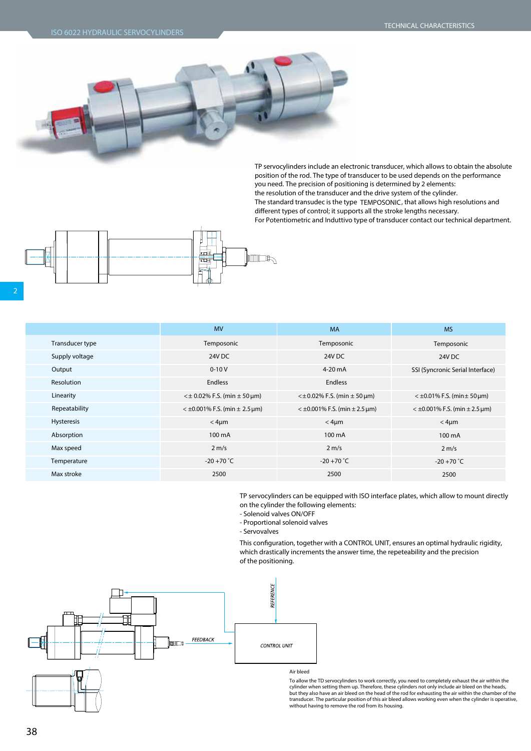

TP servocylinders include an electronic transducer, which allows to obtain the absolute position of the rod. The type of transducer to be used depends on the performance you need. The precision of positioning is determined by 2 elements: the resolution of the transducer and the drive system of the cylinder. The standard transudec is the type **TEMPOSONIC**, that allows high resolutions and different types of control; it supports all the stroke lengths necessary. For Potentiometric and Induttivo type of transducer contact our technical department.



|                 | <b>MV</b>                           | <b>MA</b>                            | <b>MS</b>                           |
|-----------------|-------------------------------------|--------------------------------------|-------------------------------------|
| Transducer type | Temposonic                          | Temposonic                           | Temposonic                          |
| Supply voltage  | 24V DC                              | 24V DC                               | 24V DC                              |
| Output          | $0 - 10V$                           | $4-20$ mA                            | SSI (Syncronic Serial Interface)    |
| Resolution      | <b>Endless</b>                      | <b>Endless</b>                       |                                     |
| Linearity       | $\leq$ ± 0.02% F.S. (min ± 50 µm)   | $\lt$ ± 0.02% F.S. (min $\pm$ 50 µm) | $<$ ±0.01% F.S. (min ± 50 µm)       |
| Repeatability   | $<$ ±0.001% F.S. (min $\pm$ 2.5 µm) | $<$ ±0.001% F.S. (min $\pm$ 2.5 µm)  | $<$ ±0.001% F.S. (min $\pm$ 2.5 µm) |
| Hysteresis      | $<$ 4 $\mu$ m                       | $<$ 4 $\mu$ m                        | $<$ 4 $\mu$ m                       |
| Absorption      | 100 mA                              | 100 mA                               | 100 mA                              |
| Max speed       | $2 \text{ m/s}$                     | $2 \text{ m/s}$                      | $2 \text{ m/s}$                     |
| Temperature     | $-20 + 70$ $\degree$ C              | $-20 + 70$ °C                        | $-20 + 70$ °C                       |
| Max stroke      | 2500                                | 2500                                 | 2500                                |
|                 |                                     |                                      |                                     |

TP servocylinders can be equipped with ISO interface plates, which allow to mount directly on the cylinder the following elements:

- Solenoid valves ON/OFF
- Proportional solenoid valves
- Servovalves

This configuration, together with a CONTROL UNIT, ensures an optimal hydraulic rigidity, which drastically increments the answer time, the repeteability and the precision of the positioning.



## To allow the TD servocylinders to work correctly, you need to completely exhaust the air within the cylinder when setting them up. Therefore, these cylinders not only include air bleed on the heads,<br>but they also have an air bleed on the head of the rod for exhausting the air within the chamber of the transducer. The particular position of this air bleed allows working even when the cylinder is operative, without having to remove the rod from its housing.